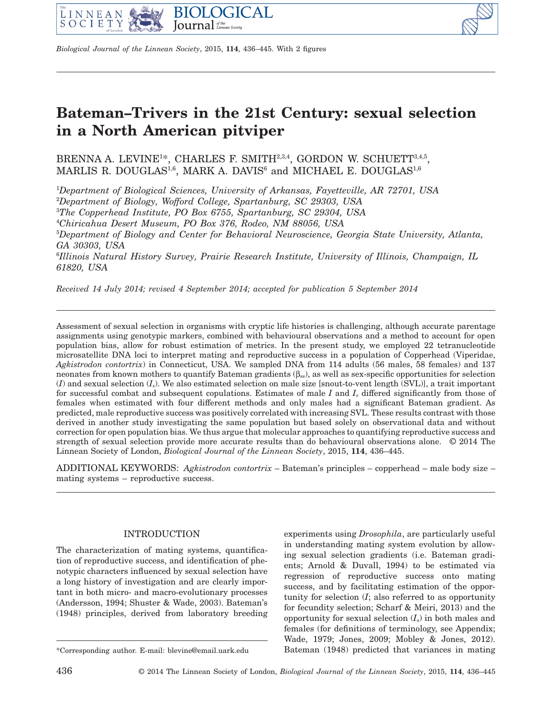



*Biological Journal of the Linnean Society*, 2015, **114**, 436–445. With 2 figures

# **Bateman–Trivers in the 21st Century: sexual selection in a North American pitviper**

BRENNA A. LEVINE<sup>1\*</sup>, CHARLES F. SMITH<sup>2,3,4</sup>, GORDON W. SCHUETT<sup>3,4,5</sup>, MARLIS R. DOUGLAS<sup>1,6</sup>, MARK A. DAVIS<sup>6</sup> and MICHAEL E. DOUGLAS<sup>1,6</sup>

 *Department of Biological Sciences, University of Arkansas, Fayetteville, AR 72701, USA Department of Biology, Wofford College, Spartanburg, SC 29303, USA The Copperhead Institute, PO Box 6755, Spartanburg, SC 29304, USA Chiricahua Desert Museum, PO Box 376, Rodeo, NM 88056, USA Department of Biology and Center for Behavioral Neuroscience, Georgia State University, Atlanta, GA 30303, USA*

6 *Illinois Natural History Survey, Prairie Research Institute, University of Illinois, Champaign, IL 61820, USA*

*Received 14 July 2014; revised 4 September 2014; accepted for publication 5 September 2014*

Assessment of sexual selection in organisms with cryptic life histories is challenging, although accurate parentage assignments using genotypic markers, combined with behavioural observations and a method to account for open population bias, allow for robust estimation of metrics. In the present study, we employed 22 tetranucleotide microsatellite DNA loci to interpret mating and reproductive success in a population of Copperhead (Viperidae, *Agkistrodon contortrix*) in Connecticut, USA. We sampled DNA from 114 adults (56 males, 58 females) and 137 neonates from known mothers to quantify Bateman gradients  $(\beta_{ss})$ , as well as sex-specific opportunities for selection (*I*) and sexual selection (*Is*). We also estimated selection on male size [snout-to-vent length (SVL)], a trait important for successful combat and subsequent copulations. Estimates of male *I* and *Is* differed significantly from those of females when estimated with four different methods and only males had a significant Bateman gradient. As predicted, male reproductive success was positively correlated with increasing SVL. These results contrast with those derived in another study investigating the same population but based solely on observational data and without correction for open population bias. We thus argue that molecular approaches to quantifying reproductive success and strength of sexual selection provide more accurate results than do behavioural observations alone. © 2014 The Linnean Society of London, *Biological Journal of the Linnean Society*, 2015, **114**, 436–445.

ADDITIONAL KEYWORDS: *Agkistrodon contortrix* – Bateman's principles – copperhead – male body size – mating systems – reproductive success.

# INTRODUCTION

The characterization of mating systems, quantification of reproductive success, and identification of phenotypic characters influenced by sexual selection have a long history of investigation and are clearly important in both micro- and macro-evolutionary processes (Andersson, 1994; Shuster & Wade, 2003). Bateman's (1948) principles, derived from laboratory breeding

experiments using *Drosophila*, are particularly useful in understanding mating system evolution by allowing sexual selection gradients (i.e. Bateman gradients; Arnold & Duvall, 1994) to be estimated via regression of reproductive success onto mating success, and by facilitating estimation of the opportunity for selection (*I*; also referred to as opportunity for fecundity selection; Scharf & Meiri, 2013) and the opportunity for sexual selection  $(I_s)$  in both males and females (for definitions of terminology, see Appendix; Wade, 1979; Jones, 2009; Mobley & Jones, 2012). \*Corresponding author. E-mail: [blevine@email.uark.edu](mailto:blevine@email.uark.edu) Bateman (1948) predicted that variances in mating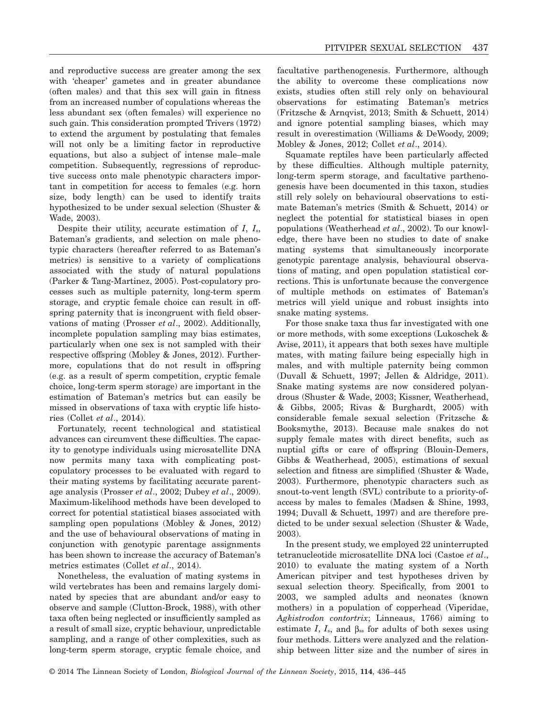and reproductive success are greater among the sex with 'cheaper' gametes and in greater abundance (often males) and that this sex will gain in fitness from an increased number of copulations whereas the less abundant sex (often females) will experience no such gain. This consideration prompted Trivers (1972) to extend the argument by postulating that females will not only be a limiting factor in reproductive equations, but also a subject of intense male–male competition. Subsequently, regressions of reproductive success onto male phenotypic characters important in competition for access to females (e.g. horn size, body length) can be used to identify traits hypothesized to be under sexual selection (Shuster & Wade, 2003).

Despite their utility, accurate estimation of *I*, *I*s, Bateman's gradients, and selection on male phenotypic characters (hereafter referred to as Bateman's metrics) is sensitive to a variety of complications associated with the study of natural populations (Parker & Tang-Martinez, 2005). Post-copulatory processes such as multiple paternity, long-term sperm storage, and cryptic female choice can result in offspring paternity that is incongruent with field observations of mating (Prosser *et al*., 2002). Additionally, incomplete population sampling may bias estimates, particularly when one sex is not sampled with their respective offspring (Mobley & Jones, 2012). Furthermore, copulations that do not result in offspring (e.g. as a result of sperm competition, cryptic female choice, long-term sperm storage) are important in the estimation of Bateman's metrics but can easily be missed in observations of taxa with cryptic life histories (Collet *et al*., 2014).

Fortunately, recent technological and statistical advances can circumvent these difficulties. The capacity to genotype individuals using microsatellite DNA now permits many taxa with complicating postcopulatory processes to be evaluated with regard to their mating systems by facilitating accurate parentage analysis (Prosser *et al*., 2002; Dubey *et al*., 2009). Maximum-likelihood methods have been developed to correct for potential statistical biases associated with sampling open populations (Mobley & Jones, 2012) and the use of behavioural observations of mating in conjunction with genotypic parentage assignments has been shown to increase the accuracy of Bateman's metrics estimates (Collet *et al*., 2014).

Nonetheless, the evaluation of mating systems in wild vertebrates has been and remains largely dominated by species that are abundant and/or easy to observe and sample (Clutton-Brock, 1988), with other taxa often being neglected or insufficiently sampled as a result of small size, cryptic behaviour, unpredictable sampling, and a range of other complexities, such as long-term sperm storage, cryptic female choice, and facultative parthenogenesis. Furthermore, although the ability to overcome these complications now exists, studies often still rely only on behavioural observations for estimating Bateman's metrics (Fritzsche & Arnqvist, 2013; Smith & Schuett, 2014) and ignore potential sampling biases, which may result in overestimation (Williams & DeWoody, 2009; Mobley & Jones, 2012; Collet *et al*., 2014).

Squamate reptiles have been particularly affected by these difficulties. Although multiple paternity, long-term sperm storage, and facultative parthenogenesis have been documented in this taxon, studies still rely solely on behavioural observations to estimate Bateman's metrics (Smith & Schuett, 2014) or neglect the potential for statistical biases in open populations (Weatherhead *et al*., 2002). To our knowledge, there have been no studies to date of snake mating systems that simultaneously incorporate genotypic parentage analysis, behavioural observations of mating, and open population statistical corrections. This is unfortunate because the convergence of multiple methods on estimates of Bateman's metrics will yield unique and robust insights into snake mating systems.

For those snake taxa thus far investigated with one or more methods, with some exceptions (Lukoschek & Avise, 2011), it appears that both sexes have multiple mates, with mating failure being especially high in males, and with multiple paternity being common (Duvall & Schuett, 1997; Jellen & Aldridge, 2011). Snake mating systems are now considered polyandrous (Shuster & Wade, 2003; Kissner, Weatherhead, & Gibbs, 2005; Rivas & Burghardt, 2005) with considerable female sexual selection (Fritzsche & Booksmythe, 2013). Because male snakes do not supply female mates with direct benefits, such as nuptial gifts or care of offspring (Blouin-Demers, Gibbs & Weatherhead, 2005), estimations of sexual selection and fitness are simplified (Shuster & Wade, 2003). Furthermore, phenotypic characters such as snout-to-vent length (SVL) contribute to a priority-ofaccess by males to females (Madsen & Shine, 1993, 1994; Duvall & Schuett, 1997) and are therefore predicted to be under sexual selection (Shuster & Wade, 2003).

In the present study, we employed 22 uninterrupted tetranucleotide microsatellite DNA loci (Castoe *et al*., 2010) to evaluate the mating system of a North American pitviper and test hypotheses driven by sexual selection theory. Specifically, from 2001 to 2003, we sampled adults and neonates (known mothers) in a population of copperhead (Viperidae, *Agkistrodon contortrix*; Linneaus, 1766) aiming to estimate *I*,  $I_s$ , and  $\beta_{ss}$  for adults of both sexes using four methods. Litters were analyzed and the relationship between litter size and the number of sires in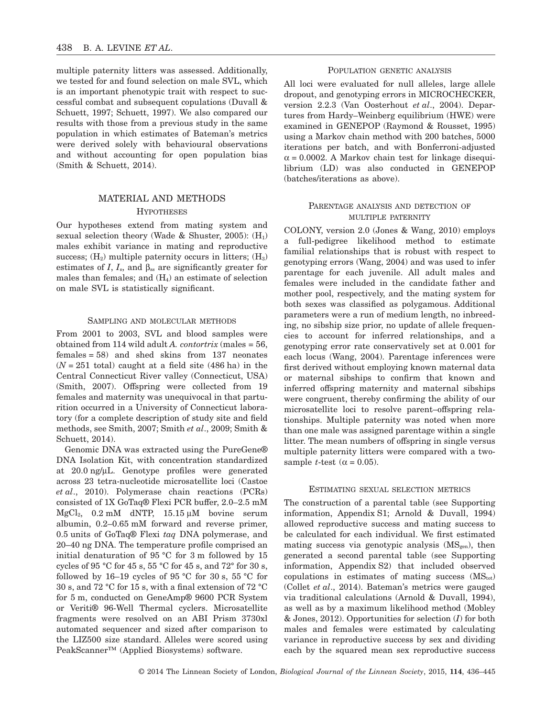multiple paternity litters was assessed. Additionally, we tested for and found selection on male SVL, which is an important phenotypic trait with respect to successful combat and subsequent copulations (Duvall & Schuett, 1997; Schuett, 1997). We also compared our results with those from a previous study in the same population in which estimates of Bateman's metrics were derived solely with behavioural observations and without accounting for open population bias (Smith & Schuett, 2014).

# MATERIAL AND METHODS **HYPOTHESES**

Our hypotheses extend from mating system and sexual selection theory (Wade & Shuster, 2005):  $(H_1)$ males exhibit variance in mating and reproductive success;  $(H_2)$  multiple paternity occurs in litters;  $(H_3)$ estimates of *I*,  $I_s$ , and  $\beta_{ss}$  are significantly greater for males than females; and  $(H_4)$  an estimate of selection on male SVL is statistically significant.

## SAMPLING AND MOLECULAR METHODS

From 2001 to 2003, SVL and blood samples were obtained from 114 wild adult *A. contortrix* (males = 56, females = 58) and shed skins from 137 neonates  $(N = 251$  total) caught at a field site  $(486 \text{ ha})$  in the Central Connecticut River valley (Connecticut, USA) (Smith, 2007). Offspring were collected from 19 females and maternity was unequivocal in that parturition occurred in a University of Connecticut laboratory (for a complete description of study site and field methods, see Smith, 2007; Smith *et al*., 2009; Smith & Schuett, 2014).

Genomic DNA was extracted using the PureGene® DNA Isolation Kit, with concentration standardized at 20.0 ng/μL. Genotype profiles were generated across 23 tetra-nucleotide microsatellite loci (Castoe *et al*., 2010). Polymerase chain reactions (PCRs) consisted of 1X GoTaq® Flexi PCR buffer, 2.0–2.5 mM MgCl<sub>2</sub>,  $0.2 \text{ mM}$  dNTP,  $15.15 \mu\text{M}$  bovine serum albumin, 0.2–0.65 mM forward and reverse primer, 0.5 units of GoTaq® Flexi *taq* DNA polymerase, and 20–40 ng DNA. The temperature profile comprised an initial denaturation of 95 °C for 3 m followed by 15 cycles of 95 °C for 45 s, 55 °C for 45 s, and 72° for 30 s, followed by  $16-19$  cycles of  $95^{\circ}$ C for  $30 \text{ s}$ ,  $55^{\circ}$ C for 30 s, and 72 °C for 15 s, with a final extension of 72 °C for 5 m, conducted on GeneAmp® 9600 PCR System or Veriti® 96-Well Thermal cyclers. Microsatellite fragments were resolved on an ABI Prism 3730xl automated sequencer and sized after comparison to the LIZ500 size standard. Alleles were scored using PeakScanner™ (Applied Biosystems) software.

## POPULATION GENETIC ANALYSIS

All loci were evaluated for null alleles, large allele dropout, and genotyping errors in MICROCHECKER, version 2.2.3 (Van Oosterhout *et al*., 2004). Departures from Hardy–Weinberg equilibrium (HWE) were examined in GENEPOP (Raymond & Rousset, 1995) using a Markov chain method with 200 batches, 5000 iterations per batch, and with Bonferroni-adjusted  $\alpha$  = 0.0002. A Markov chain test for linkage disequilibrium (LD) was also conducted in GENEPOP (batches/iterations as above).

## PARENTAGE ANALYSIS AND DETECTION OF MULTIPLE PATERNITY

COLONY, version 2.0 (Jones & Wang, 2010) employs a full-pedigree likelihood method to estimate familial relationships that is robust with respect to genotyping errors (Wang, 2004) and was used to infer parentage for each juvenile. All adult males and females were included in the candidate father and mother pool, respectively, and the mating system for both sexes was classified as polygamous. Additional parameters were a run of medium length, no inbreeding, no sibship size prior, no update of allele frequencies to account for inferred relationships, and a genotyping error rate conservatively set at 0.001 for each locus (Wang, 2004). Parentage inferences were first derived without employing known maternal data or maternal sibships to confirm that known and inferred offspring maternity and maternal sibships were congruent, thereby confirming the ability of our microsatellite loci to resolve parent–offspring relationships. Multiple paternity was noted when more than one male was assigned parentage within a single litter. The mean numbers of offspring in single versus multiple paternity litters were compared with a twosample *t*-test ( $\alpha$  = 0.05).

#### ESTIMATING SEXUAL SELECTION METRICS

The construction of a parental table (see Supporting information, Appendix S1; Arnold & Duvall, 1994) allowed reproductive success and mating success to be calculated for each individual. We first estimated mating success via genotypic analysis  $(MS<sub>gen</sub>)$ , then generated a second parental table (see Supporting information, Appendix S2) that included observed copulations in estimates of mating success  $(MS<sub>tot</sub>)$ (Collet *et al*., 2014). Bateman's metrics were gauged via traditional calculations (Arnold & Duvall, 1994), as well as by a maximum likelihood method (Mobley & Jones, 2012). Opportunities for selection (*I*) for both males and females were estimated by calculating variance in reproductive success by sex and dividing each by the squared mean sex reproductive success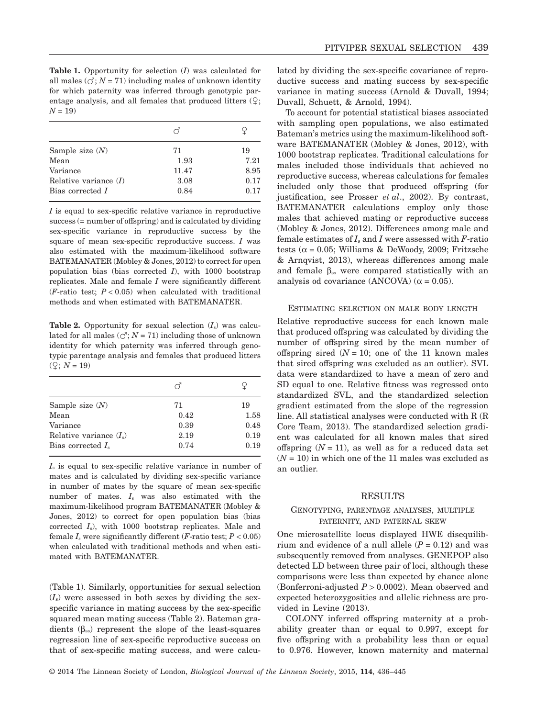**Table 1.** Opportunity for selection (*I*) was calculated for all males  $(\circlearrowleft; N = 71)$  including males of unknown identity for which paternity was inferred through genotypic parentage analysis, and all females that produced litters  $(Q;$  $N = 19$ 

| Sample size $(N)$       | 71    | 19   |
|-------------------------|-------|------|
| Mean                    | 1.93  | 7.21 |
| Variance                | 11.47 | 8.95 |
| Relative variance $(I)$ | 3.08  | 0.17 |
| Bias corrected I        | 0.84  | 0.17 |
|                         |       |      |

*I* is equal to sex-specific relative variance in reproductive success (= number of offspring) and is calculated by dividing sex-specific variance in reproductive success by the square of mean sex-specific reproductive success. *I* was also estimated with the maximum-likelihood software BATEMANATER (Mobley & Jones, 2012) to correct for open population bias (bias corrected *I*), with 1000 bootstrap replicates. Male and female *I* were significantly different  $(F\text{-ratio test}; P < 0.05)$  when calculated with traditional methods and when estimated with BATEMANATER.

**Table 2.** Opportunity for sexual selection  $(I_s)$  was calculated for all males  $(\circlearrowleft; N = 71)$  including those of unknown identity for which paternity was inferred through genotypic parentage analysis and females that produced litters  $($ 2;  $N = 19)$ 

|                           | ಗ    |      |
|---------------------------|------|------|
| Sample size $(N)$         | 71   | 19   |
| Mean                      | 0.42 | 1.58 |
| Variance                  | 0.39 | 0.48 |
| Relative variance $(I_s)$ | 2.19 | 0.19 |
| Bias corrected $I_s$      | 0.74 | 0.19 |

*I*<sup>s</sup> is equal to sex-specific relative variance in number of mates and is calculated by dividing sex-specific variance in number of mates by the square of mean sex-specific number of mates. *I*<sup>s</sup> was also estimated with the maximum-likelihood program BATEMANATER (Mobley & Jones, 2012) to correct for open population bias (bias corrected *I*s), with 1000 bootstrap replicates. Male and female  $I_s$  were significantly different ( $F$ -ratio test;  $P < 0.05$ ) when calculated with traditional methods and when estimated with BATEMANATER.

(Table 1). Similarly, opportunities for sexual selection  $(I<sub>s</sub>)$  were assessed in both sexes by dividing the sexspecific variance in mating success by the sex-specific squared mean mating success (Table 2). Bateman gradients  $(\beta_{ss})$  represent the slope of the least-squares regression line of sex-specific reproductive success on that of sex-specific mating success, and were calculated by dividing the sex-specific covariance of reproductive success and mating success by sex-specific variance in mating success (Arnold & Duvall, 1994; Duvall, Schuett, & Arnold, 1994).

To account for potential statistical biases associated with sampling open populations, we also estimated Bateman's metrics using the maximum-likelihood software BATEMANATER (Mobley & Jones, 2012), with 1000 bootstrap replicates. Traditional calculations for males included those individuals that achieved no reproductive success, whereas calculations for females included only those that produced offspring (for justification, see Prosser *et al*., 2002). By contrast, BATEMANATER calculations employ only those males that achieved mating or reproductive success (Mobley & Jones, 2012). Differences among male and female estimates of  $I_s$  and  $I$  were assessed with  $F$ -ratio tests ( $\alpha$  = 0.05; Williams & DeWoody, 2009; Fritzsche & Arnqvist, 2013), whereas differences among male and female  $\beta_{ss}$  were compared statistically with an analysis od covariance (ANCOVA) ( $\alpha$  = 0.05).

### ESTIMATING SELECTION ON MALE BODY LENGTH

Relative reproductive success for each known male that produced offspring was calculated by dividing the number of offspring sired by the mean number of offspring sired  $(N = 10)$ ; one of the 11 known males that sired offspring was excluded as an outlier). SVL data were standardized to have a mean of zero and SD equal to one. Relative fitness was regressed onto standardized SVL, and the standardized selection gradient estimated from the slope of the regression line. All statistical analyses were conducted with R (R Core Team, 2013). The standardized selection gradient was calculated for all known males that sired offspring  $(N = 11)$ , as well as for a reduced data set  $(N = 10)$  in which one of the 11 males was excluded as an outlier.

#### RESULTS

## GENOTYPING, PARENTAGE ANALYSES, MULTIPLE PATERNITY, AND PATERNAL SKEW

One microsatellite locus displayed HWE disequilibrium and evidence of a null allele  $(P = 0.12)$  and was subsequently removed from analyses. GENEPOP also detected LD between three pair of loci, although these comparisons were less than expected by chance alone (Bonferroni-adjusted *P* > 0.0002). Mean observed and expected heterozygosities and allelic richness are provided in Levine (2013).

COLONY inferred offspring maternity at a probability greater than or equal to 0.997, except for five offspring with a probability less than or equal to 0.976. However, known maternity and maternal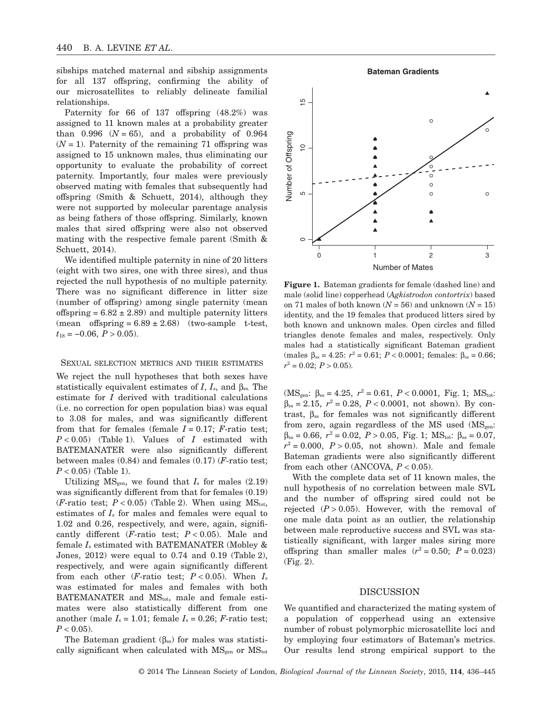sibships matched maternal and sibship assignments for all 137 offspring, confirming the ability of our microsatellites to reliably delineate familial relationships.

Paternity for 66 of 137 offspring (48.2%) was assigned to 11 known males at a probability greater than  $0.996$   $(N = 65)$ , and a probability of 0.964  $(N = 1)$ . Paternity of the remaining 71 offspring was assigned to 15 unknown males, thus eliminating our opportunity to evaluate the probability of correct paternity. Importantly, four males were previously observed mating with females that subsequently had offspring (Smith & Schuett, 2014), although they were not supported by molecular parentage analysis as being fathers of those offspring. Similarly, known males that sired offspring were also not observed mating with the respective female parent (Smith & Schuett, 2014).

We identified multiple paternity in nine of 20 litters (eight with two sires, one with three sires), and thus rejected the null hypothesis of no multiple paternity. There was no significant difference in litter size (number of offspring) among single paternity (mean offspring =  $6.82 \pm 2.89$ ) and multiple paternity litters (mean offspring =  $6.89 \pm 2.68$ ) (two-sample t-test,  $t_{18} = -0.06, P > 0.05$ .

#### SEXUAL SELECTION METRICS AND THEIR ESTIMATES

We reject the null hypotheses that both sexes have statistically equivalent estimates of *I*,  $I_s$ , and  $\beta_{ss}$ . The estimate for *I* derived with traditional calculations (i.e. no correction for open population bias) was equal to 3.08 for males, and was significantly different from that for females (female  $I = 0.17$ ;  $F$ -ratio test;  $P < 0.05$ ) (Table 1). Values of *I* estimated with BATEMANATER were also significantly different between males (0.84) and females (0.17) (*F*-ratio test; *P* < 0.05) (Table 1).

Utilizing  $MS_{gen}$ , we found that  $I_s$  for males  $(2.19)$ was significantly different from that for females (0.19) (*F*-ratio test;  $P < 0.05$ ) (Table 2). When using  $MS_{\text{tot}}$ , estimates of *I*<sup>s</sup> for males and females were equal to 1.02 and 0.26, respectively, and were, again, significantly different (*F*-ratio test; *P* < 0.05). Male and female *I*<sup>s</sup> estimated with BATEMANATER (Mobley & Jones, 2012) were equal to 0.74 and 0.19 (Table 2), respectively, and were again significantly different from each other (*F*-ratio test;  $P < 0.05$ ). When  $I_s$ was estimated for males and females with both BATEMANATER and MStot, male and female estimates were also statistically different from one another (male  $I_s = 1.01$ ; female  $I_s = 0.26$ ; *F*-ratio test;  $P < 0.05$ ).

The Bateman gradient  $(\beta_{ss})$  for males was statistically significant when calculated with  $MS<sub>gen</sub>$  or  $MS<sub>tot</sub>$ 

**Bateman Gradients**



**Figure 1.** Bateman gradients for female (dashed line) and male (solid line) copperhead (*Agkistrodon contortrix*) based on 71 males of both known  $(N = 56)$  and unknown  $(N = 15)$ identity, and the 19 females that produced litters sired by both known and unknown males. Open circles and filled triangles denote females and males, respectively. Only males had a statistically significant Bateman gradient (males  $\beta_{ss} = 4.25$ :  $r^2 = 0.61$ ;  $P < 0.0001$ ; females:  $\beta_{ss} = 0.66$ ;  $r^2 = 0.02$ ;  $P > 0.05$ ).

( $MS_{gen}$ :  $\beta_{ss} = 4.25$ ,  $r^2 = 0.61$ ,  $P < 0.0001$ , Fig. 1;  $MS_{tot}$ :  $\beta_{ss} = 2.15$ ,  $r^2 = 0.28$ ,  $P < 0.0001$ , not shown). By contrast, βss for females was not significantly different from zero, again regardless of the MS used  $(MS_{\text{gen}}$ :  $β_{ss} = 0.66$ ,  $r^2 = 0.02$ ,  $P > 0.05$ , Fig. 1; MS<sub>tot</sub>:  $β_{ss} = 0.07$ ,  $r^2 = 0.000$ ,  $P > 0.05$ , not shown). Male and female Bateman gradients were also significantly different from each other (ANCOVA,  $P < 0.05$ ).

With the complete data set of 11 known males, the null hypothesis of no correlation between male SVL and the number of offspring sired could not be rejected  $(P > 0.05)$ . However, with the removal of one male data point as an outlier, the relationship between male reproductive success and SVL was statistically significant, with larger males siring more offspring than smaller males  $(r^2 = 0.50; P = 0.023)$ (Fig. 2).

#### DISCUSSION

We quantified and characterized the mating system of a population of copperhead using an extensive number of robust polymorphic microsatellite loci and by employing four estimators of Bateman's metrics. Our results lend strong empirical support to the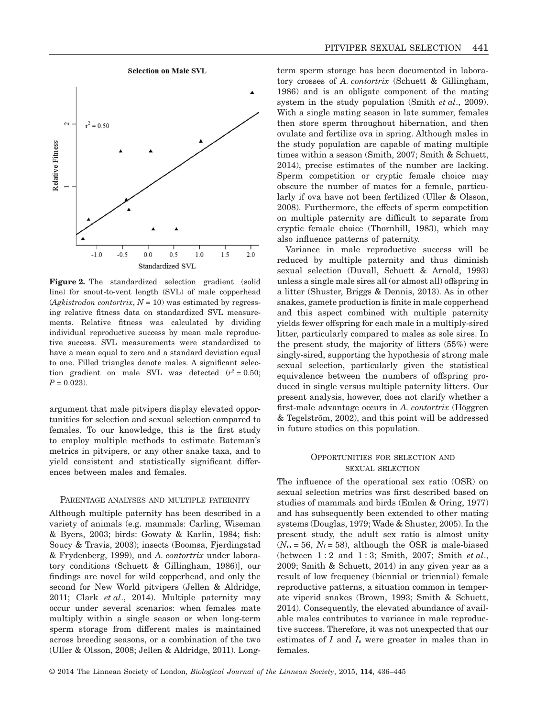



**Figure 2.** The standardized selection gradient (solid line) for snout-to-vent length (SVL) of male copperhead  $(Agkistrodon \, contourrix, N = 10)$  was estimated by regressing relative fitness data on standardized SVL measurements. Relative fitness was calculated by dividing individual reproductive success by mean male reproductive success. SVL measurements were standardized to have a mean equal to zero and a standard deviation equal to one. Filled triangles denote males. A significant selection gradient on male SVL was detected  $(r^2 = 0.50;$  $P = 0.023$ .

argument that male pitvipers display elevated opportunities for selection and sexual selection compared to females. To our knowledge, this is the first study to employ multiple methods to estimate Bateman's metrics in pitvipers, or any other snake taxa, and to yield consistent and statistically significant differences between males and females.

#### PARENTAGE ANALYSES AND MULTIPLE PATERNITY

Although multiple paternity has been described in a variety of animals (e.g. mammals: Carling, Wiseman & Byers, 2003; birds: Gowaty & Karlin, 1984; fish: Soucy & Travis, 2003); insects (Boomsa, Fjerdingstad & Frydenberg, 1999), and *A. contortrix* under laboratory conditions (Schuett & Gillingham, 1986)], our findings are novel for wild copperhead, and only the second for New World pitvipers (Jellen & Aldridge, 2011; Clark *et al*., 2014). Multiple paternity may occur under several scenarios: when females mate multiply within a single season or when long-term sperm storage from different males is maintained across breeding seasons, or a combination of the two (Uller & Olsson, 2008; Jellen & Aldridge, 2011). Longterm sperm storage has been documented in laboratory crosses of *A. contortrix* (Schuett & Gillingham, 1986) and is an obligate component of the mating system in the study population (Smith *et al*., 2009). With a single mating season in late summer, females then store sperm throughout hibernation, and then ovulate and fertilize ova in spring. Although males in the study population are capable of mating multiple times within a season (Smith, 2007; Smith & Schuett, 2014), precise estimates of the number are lacking. Sperm competition or cryptic female choice may obscure the number of mates for a female, particularly if ova have not been fertilized (Uller & Olsson, 2008). Furthermore, the effects of sperm competition on multiple paternity are difficult to separate from cryptic female choice (Thornhill, 1983), which may also influence patterns of paternity.

Variance in male reproductive success will be reduced by multiple paternity and thus diminish sexual selection (Duvall, Schuett & Arnold, 1993) unless a single male sires all (or almost all) offspring in a litter (Shuster, Briggs & Dennis, 2013). As in other snakes, gamete production is finite in male copperhead and this aspect combined with multiple paternity yields fewer offspring for each male in a multiply-sired litter, particularly compared to males as sole sires. In the present study, the majority of litters (55%) were singly-sired, supporting the hypothesis of strong male sexual selection, particularly given the statistical equivalence between the numbers of offspring produced in single versus multiple paternity litters. Our present analysis, however, does not clarify whether a first-male advantage occurs in *A. contortrix* (Höggren & Tegelstro¯m, 2002), and this point will be addressed in future studies on this population.

## OPPORTUNITIES FOR SELECTION AND SEXUAL SELECTION

The influence of the operational sex ratio (OSR) on sexual selection metrics was first described based on studies of mammals and birds (Emlen & Oring, 1977) and has subsequently been extended to other mating systems (Douglas, 1979; Wade & Shuster, 2005). In the present study, the adult sex ratio is almost unity  $(N_m = 56, N_f = 58)$ , although the OSR is male-biased (between 1 : 2 and 1 : 3; Smith, 2007; Smith *et al*., 2009; Smith & Schuett, 2014) in any given year as a result of low frequency (biennial or triennial) female reproductive patterns, a situation common in temperate viperid snakes (Brown, 1993; Smith & Schuett, 2014). Consequently, the elevated abundance of available males contributes to variance in male reproductive success. Therefore, it was not unexpected that our estimates of *I* and *I*<sup>s</sup> were greater in males than in females.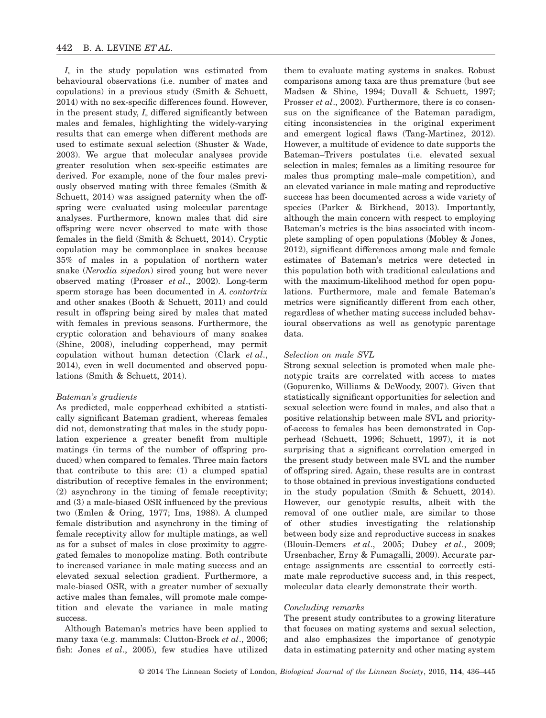*I*<sup>s</sup> in the study population was estimated from behavioural observations (i.e. number of mates and copulations) in a previous study (Smith & Schuett, 2014) with no sex-specific differences found. However, in the present study, *I*<sup>s</sup> differed significantly between males and females, highlighting the widely-varying results that can emerge when different methods are used to estimate sexual selection (Shuster & Wade, 2003). We argue that molecular analyses provide greater resolution when sex-specific estimates are derived. For example, none of the four males previously observed mating with three females (Smith & Schuett, 2014) was assigned paternity when the offspring were evaluated using molecular parentage analyses. Furthermore, known males that did sire offspring were never observed to mate with those females in the field (Smith & Schuett, 2014). Cryptic copulation may be commonplace in snakes because 35% of males in a population of northern water snake (*Nerodia sipedon*) sired young but were never observed mating (Prosser *et al*., 2002). Long-term sperm storage has been documented in *A. contortrix* and other snakes (Booth & Schuett, 2011) and could result in offspring being sired by males that mated with females in previous seasons. Furthermore, the cryptic coloration and behaviours of many snakes (Shine, 2008), including copperhead, may permit copulation without human detection (Clark *et al*., 2014), even in well documented and observed populations (Smith & Schuett, 2014).

#### *Bateman's gradients*

As predicted, male copperhead exhibited a statistically significant Bateman gradient, whereas females did not, demonstrating that males in the study population experience a greater benefit from multiple matings (in terms of the number of offspring produced) when compared to females. Three main factors that contribute to this are: (1) a clumped spatial distribution of receptive females in the environment; (2) asynchrony in the timing of female receptivity; and (3) a male-biased OSR influenced by the previous two (Emlen & Oring, 1977; Ims, 1988). A clumped female distribution and asynchrony in the timing of female receptivity allow for multiple matings, as well as for a subset of males in close proximity to aggregated females to monopolize mating. Both contribute to increased variance in male mating success and an elevated sexual selection gradient. Furthermore, a male-biased OSR, with a greater number of sexually active males than females, will promote male competition and elevate the variance in male mating success.

Although Bateman's metrics have been applied to many taxa (e.g. mammals: Clutton-Brock *et al*., 2006; fish: Jones *et al*., 2005), few studies have utilized them to evaluate mating systems in snakes. Robust comparisons among taxa are thus premature (but see Madsen & Shine, 1994; Duvall & Schuett, 1997; Prosser *et al.*, 2002). Furthermore, there is co consensus on the significance of the Bateman paradigm, citing inconsistencies in the original experiment and emergent logical flaws (Tang-Martinez, 2012). However, a multitude of evidence to date supports the Bateman–Trivers postulates (i.e. elevated sexual selection in males; females as a limiting resource for males thus prompting male–male competition), and an elevated variance in male mating and reproductive success has been documented across a wide variety of species (Parker & Birkhead, 2013). Importantly, although the main concern with respect to employing Bateman's metrics is the bias associated with incomplete sampling of open populations (Mobley & Jones, 2012), significant differences among male and female estimates of Bateman's metrics were detected in this population both with traditional calculations and with the maximum-likelihood method for open populations. Furthermore, male and female Bateman's metrics were significantly different from each other, regardless of whether mating success included behavioural observations as well as genotypic parentage data.

#### *Selection on male SVL*

Strong sexual selection is promoted when male phenotypic traits are correlated with access to mates (Gopurenko, Williams & DeWoody, 2007). Given that statistically significant opportunities for selection and sexual selection were found in males, and also that a positive relationship between male SVL and priorityof-access to females has been demonstrated in Copperhead (Schuett, 1996; Schuett, 1997), it is not surprising that a significant correlation emerged in the present study between male SVL and the number of offspring sired. Again, these results are in contrast to those obtained in previous investigations conducted in the study population (Smith & Schuett, 2014). However, our genotypic results, albeit with the removal of one outlier male, are similar to those of other studies investigating the relationship between body size and reproductive success in snakes (Blouin-Demers *et al*., 2005; Dubey *et al*., 2009; Ursenbacher, Erny & Fumagalli, 2009). Accurate parentage assignments are essential to correctly estimate male reproductive success and, in this respect, molecular data clearly demonstrate their worth.

## *Concluding remarks*

The present study contributes to a growing literature that focuses on mating systems and sexual selection, and also emphasizes the importance of genotypic data in estimating paternity and other mating system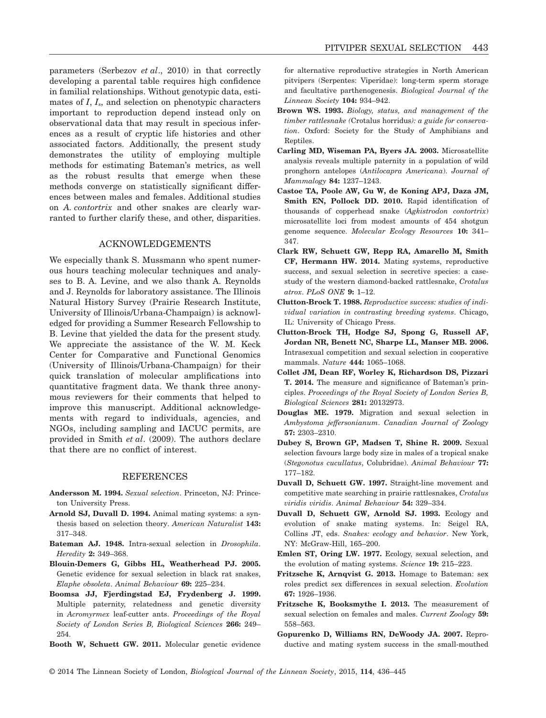parameters (Serbezov *et al*., 2010) in that correctly developing a parental table requires high confidence in familial relationships. Without genotypic data, estimates of *I*, *I*<sub>s</sub>, and selection on phenotypic characters important to reproduction depend instead only on observational data that may result in specious inferences as a result of cryptic life histories and other associated factors. Additionally, the present study demonstrates the utility of employing multiple methods for estimating Bateman's metrics, as well as the robust results that emerge when these methods converge on statistically significant differences between males and females. Additional studies on *A. contortrix* and other snakes are clearly warranted to further clarify these, and other, disparities.

## ACKNOWLEDGEMENTS

We especially thank S. Mussmann who spent numerous hours teaching molecular techniques and analyses to B. A. Levine, and we also thank A. Reynolds and J. Reynolds for laboratory assistance. The Illinois Natural History Survey (Prairie Research Institute, University of Illinois/Urbana-Champaign) is acknowledged for providing a Summer Research Fellowship to B. Levine that yielded the data for the present study. We appreciate the assistance of the W. M. Keck Center for Comparative and Functional Genomics (University of Illinois/Urbana-Champaign) for their quick translation of molecular amplifications into quantitative fragment data. We thank three anonymous reviewers for their comments that helped to improve this manuscript. Additional acknowledgements with regard to individuals, agencies, and NGOs, including sampling and IACUC permits, are provided in Smith *et al*. (2009). The authors declare that there are no conflict of interest.

#### REFERENCES

- **Andersson M. 1994.** *Sexual selection*. Princeton, NJ: Princeton University Press.
- **Arnold SJ, Duvall D. 1994.** Animal mating systems: a synthesis based on selection theory. *American Naturalist* **143:** 317–348.
- **Bateman AJ. 1948.** Intra-sexual selection in *Drosophila*. *Heredity* **2:** 349–368.
- **Blouin-Demers G, Gibbs HL, Weatherhead PJ. 2005.** Genetic evidence for sexual selection in black rat snakes, *Elaphe obsoleta*. *Animal Behaviour* **69:** 225–234.
- **Boomsa JJ, Fjerdingstad EJ, Frydenberg J. 1999.** Multiple paternity, relatedness and genetic diversity in *Acromyrmex* leaf-cutter ants. *Proceedings of the Royal Society of London Series B, Biological Sciences* **266:** 249– 254.
- **Booth W, Schuett GW. 2011.** Molecular genetic evidence

for alternative reproductive strategies in North American pitvipers (Serpentes: Viperidae): long-term sperm storage and facultative parthenogenesis. *Biological Journal of the Linnean Society* **104:** 934–942.

- **Brown WS. 1993.** *Biology, status, and management of the timber rattlesnake (*Crotalus horridus*): a guide for conservation*. Oxford: Society for the Study of Amphibians and Reptiles.
- **Carling MD, Wiseman PA, Byers JA. 2003.** Microsatellite analysis reveals multiple paternity in a population of wild pronghorn antelopes (*Antilocapra Americana*). *Journal of Mammalogy* **84:** 1237–1243.
- **Castoe TA, Poole AW, Gu W, de Koning APJ, Daza JM, Smith EN, Pollock DD. 2010.** Rapid identification of thousands of copperhead snake (*Agkistrodon contortrix*) microsatellite loci from modest amounts of 454 shotgun genome sequence. *Molecular Ecology Resources* **10:** 341– 347.
- **Clark RW, Schuett GW, Repp RA, Amarello M, Smith CF, Hermann HW. 2014.** Mating systems, reproductive success, and sexual selection in secretive species: a casestudy of the western diamond-backed rattlesnake, *Crotalus atrox*. *PLoS ONE* **9:** 1–12.
- **Clutton-Brock T. 1988.** *Reproductive success: studies of individual variation in contrasting breeding systems*. Chicago, IL: University of Chicago Press.
- **Clutton-Brock TH, Hodge SJ, Spong G, Russell AF, Jordan NR, Benett NC, Sharpe LL, Manser MB. 2006.** Intrasexual competition and sexual selection in cooperative mammals. *Nature* **444:** 1065–1068.
- **Collet JM, Dean RF, Worley K, Richardson DS, Pizzari T. 2014.** The measure and significance of Bateman's principles. *Proceedings of the Royal Society of London Series B, Biological Sciences* **281:** 20132973.
- **Douglas ME. 1979.** Migration and sexual selection in *Ambystoma jeffersonianum*. *Canadian Journal of Zoology* **57:** 2303–2310.
- **Dubey S, Brown GP, Madsen T, Shine R. 2009.** Sexual selection favours large body size in males of a tropical snake (*Stegonotus cucullatus*, Colubridae). *Animal Behaviour* **77:** 177–182.
- **Duvall D, Schuett GW. 1997.** Straight-line movement and competitive mate searching in prairie rattlesnakes, *Crotalus viridis viridis*. *Animal Behaviour* **54:** 329–334.
- **Duvall D, Schuett GW, Arnold SJ. 1993.** Ecology and evolution of snake mating systems. In: Seigel RA, Collins JT, eds. *Snakes: ecology and behavior*. New York, NY: McGraw-Hill, 165–200.
- **Emlen ST, Oring LW. 1977.** Ecology, sexual selection, and the evolution of mating systems. *Science* **19:** 215–223.
- **Fritzsche K, Arnqvist G. 2013.** Homage to Bateman: sex roles predict sex differences in sexual selection. *Evolution* **67:** 1926–1936.
- **Fritzsche K, Booksmythe I. 2013.** The measurement of sexual selection on females and males. *Current Zoology* **59:** 558–563.
- **Gopurenko D, Williams RN, DeWoody JA. 2007.** Reproductive and mating system success in the small-mouthed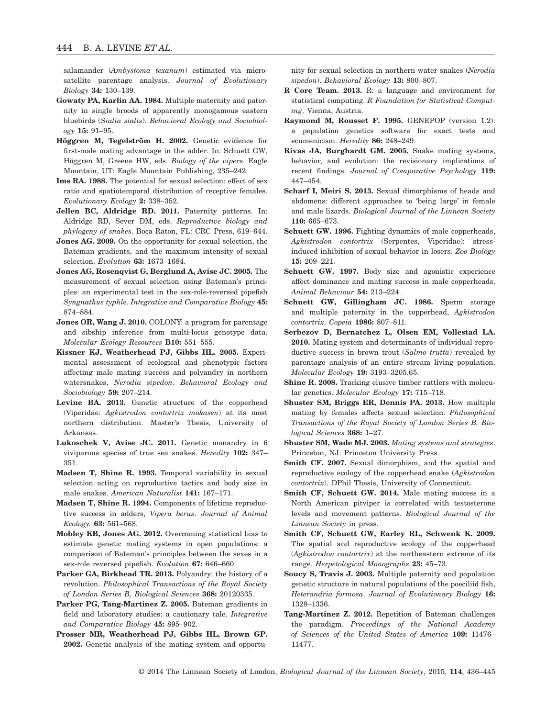salamander (*Ambystoma texanum*) estimated via microsatellite parentage analysis. *Journal of Evolutionary Biology* **34:** 130–139.

- **Gowaty PA, Karlin AA. 1984.** Multiple maternity and paternity in single broods of apparently monogamous eastern bluebirds (*Sialia sialis*). *Behavioral Ecology and Sociobiology* **15:** 91–95.
- Höggren M. Tegelström H. 2002. Genetic evidence for first-male mating advantage in the adder. In: Schuett GW, Höggren M, Greene HW, eds. *Biology of the vipers*. Eagle Mountain, UT: Eagle Mountain Publishing, 235–242.
- **Ims RA. 1988.** The potential for sexual selection: effect of sex ratio and spatiotemporal distribution of receptive females. *Evolutionary Ecology* **2:** 338–352.
- **Jellen BC, Aldridge RD. 2011.** Paternity patterns. In: Aldridge RD, Sever DM, eds. *Reproductive biology and phylogeny of snakes*. Boca Raton, FL: CRC Press, 619–644.
- **Jones AG. 2009.** On the opportunity for sexual selection, the Bateman gradients, and the maximum intensity of sexual selection. *Evolution* **63:** 1673–1684.
- **Jones AG, Rosenqvist G, Berglund A, Avise JC. 2005.** The measurement of sexual selection using Bateman's principles: an experimental test in the sex-role-reversed pipefish *Syngnathus typhle*. *Integrative and Comparative Biology* **45:** 874–884.
- **Jones OR, Wang J. 2010.** COLONY: a program for parentage and sibship inference from multi-locus genotype data. *Molecular Ecology Resources* **B10:** 551–555.
- **Kissner KJ, Weatherhead PJ, Gibbs HL. 2005.** Experimental assessment of ecological and phenotypic factors affecting male mating success and polyandry in northern watersnakes, *Nerodia sipedon*. *Behavioral Ecology and Sociobiology* **59:** 207–214.
- Levine BA. 2013. Genetic structure of the copperhead (Viperidae: *Agkistrodon contortrix mokasen*) at its most northern distribution. Master's Thesis, University of Arkansas.
- **Lukoschek V, Avise JC. 2011.** Genetic monandry in 6 viviparous species of true sea snakes. *Heredity* **102:** 347– 351.
- **Madsen T, Shine R. 1993.** Temporal variability in sexual selection acting on reproductive tactics and body size in male snakes. *American Naturalist* **141:** 167–171.
- **Madsen T, Shine R. 1994.** Components of lifetime reproductive success in adders, *Vipera berus*. *Journal of Animal Ecology.* **63:** 561–568.
- **Mobley KB, Jones AG. 2012.** Overcoming statistical bias to estimate genetic mating systems in open populations: a comparison of Bateman's principles between the sexes in a sex-role reversed pipefish. *Evolution* **67:** 646–660.
- **Parker GA, Birkhead TR. 2013.** Polyandry: the history of a revolution. *Philosophical Transactions of the Royal Society of London Series B, Biological Sciences* **368:** 20120335.
- **Parker PG, Tang-Martinez Z. 2005.** Bateman gradients in field and laboratory studies: a cautionary tale. *Integrative and Comparative Biology* **45:** 895–902.
- **Prosser MR, Weatherhead PJ, Gibbs HL, Brown GP. 2002.** Genetic analysis of the mating system and opportu-

nity for sexual selection in northern water snakes (*Nerodia sipedon*). *Behavioral Ecology* **13:** 800–807.

- **R Core Team. 2013.** R: a language and environment for statistical computing. *R Foundation for Statistical Computing*. Vienna, Austria.
- **Raymond M, Rousset F. 1995.** GENEPOP (version 1.2): a population genetics software for exact tests and ecumenicism. *Heredity* **86:** 248–249.
- **Rivas JA, Burghardt GM. 2005.** Snake mating systems, behavior, and evolution: the revisionary implications of recent findings. *Journal of Comparative Psychology* **119:** 447–454.
- **Scharf I, Meiri S. 2013.** Sexual dimorphisms of heads and abdomens: different approaches to 'being large' in female and male lizards. *Biological Journal of the Linnean Society* **110:** 665–673.
- **Schuett GW. 1996.** Fighting dynamics of male copperheads, *Agkistrodon contortrix* (Serpentes, Viperidae): stressinduced inhibition of sexual behavior in losers. *Zoo Biology* **15:** 209–221.
- **Schuett GW. 1997.** Body size and agonistic experience affect dominance and mating success in male copperheads. *Animal Behaviour* **54:** 213–224.
- **Schuett GW, Gillingham JC. 1986.** Sperm storage and multiple paternity in the copperhead, *Agkistrodon contortrix*. *Copeia* **1986:** 807–811.
- **Serbezov D, Bernatchez L, Olsen EM, Vollestad LA. 2010.** Mating system and determinants of individual reproductive success in brown trout (*Salmo trutta*) revealed by parentage analysis of an entire stream living population. *Molecular Ecology* **19:** 3193–3205.65.
- **Shine R. 2008.** Tracking elusive timber rattlers with molecular genetics. *Molecular Ecology* **17:** 715–718.
- **Shuster SM, Briggs ER, Dennis PA. 2013.** How multiple mating by females affects sexual selection. *Philosophical Transactions of the Royal Society of London Series B, Biological Sciences* **368:** 1–27.
- **Shuster SM, Wade MJ. 2003.** *Mating systems and strategies*. Princeton, NJ: Princeton University Press.
- **Smith CF. 2007.** Sexual dimorphism, and the spatial and reproductive ecology of the copperhead snake (*Agkistrodon contortrix*). DPhil Thesis, University of Connecticut.
- **Smith CF, Schuett GW. 2014.** Male mating success in a North American pitviper is correlated with testosterone levels and movement patterns. *Biological Journal of the Linnean Society* in press.
- **Smith CF, Schuett GW, Earley RL, Schwenk K. 2009.** The spatial and reproductive ecology of the copperhead (*Agkistrodon contortrix*) at the northeastern extreme of its range. *Herpetological Monographs* **23:** 45–73.
- **Soucy S, Travis J. 2003.** Multiple paternity and population genetic structure in natural populations of the poeciliid fish, *Heterandria formosa*. *Journal of Evolutionary Biology* **16:** 1328–1336.
- **Tang-Martinez Z. 2012.** Repetition of Bateman challenges the paradigm. *Proceedings of the National Academy of Sciences of the United States of America* **109:** 11476– 11477.